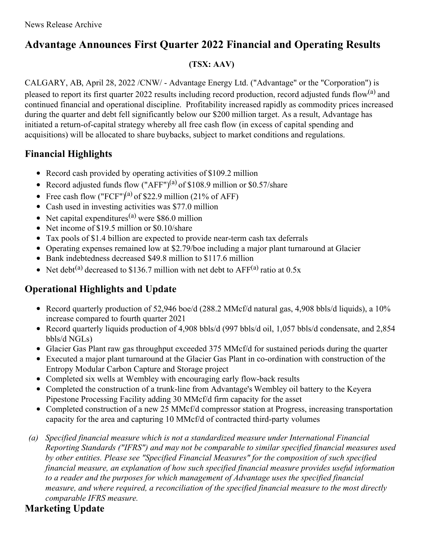# **Advantage Announces First Quarter 2022 Financial and Operating Results**

## **(TSX: AAV)**

CALGARY, AB, April 28, 2022 /CNW/ - Advantage Energy Ltd. ("Advantage" or the "Corporation") is pleased to report its first quarter 2022 results including record production, record adjusted funds flow<sup>(a)</sup> and continued financial and operational discipline. Profitability increased rapidly as commodity prices increased during the quarter and debt fell significantly below our \$200 million target. As a result, Advantage has initiated a return-of-capital strategy whereby all free cash flow (in excess of capital spending and acquisitions) will be allocated to share buybacks, subject to market conditions and regulations.

# **Financial Highlights**

- Record cash provided by operating activities of \$109.2 million
- Record adjusted funds flow  $("AFF")^{(a)}$  of \$108.9 million or \$0.57/share
- Free cash flow ("FCF")<sup>(a)</sup> of \$22.9 million (21% of AFF)
- Cash used in investing activities was \$77.0 million
- Net capital expenditures<sup>(a)</sup> were \$86.0 million
- Net income of \$19.5 million or \$0.10/share
- Tax pools of \$1.4 billion are expected to provide near-term cash tax deferrals
- Operating expenses remained low at \$2.79/boe including a major plant turnaround at Glacier
- Bank indebtedness decreased \$49.8 million to \$117.6 million
- Net debt<sup>(a)</sup> decreased to \$136.7 million with net debt to  $AFF^{(a)}$  ratio at 0.5x

# **Operational Highlights and Update**

- Record quarterly production of 52,946 boe/d (288.2 MMcf/d natural gas, 4,908 bbls/d liquids), a 10% increase compared to fourth quarter 2021
- Record quarterly liquids production of 4,908 bbls/d (997 bbls/d oil, 1,057 bbls/d condensate, and 2,854 bbls/d NGLs)
- Glacier Gas Plant raw gas throughput exceeded 375 MMcf/d for sustained periods during the quarter
- Executed a major plant turnaround at the Glacier Gas Plant in co-ordination with construction of the Entropy Modular Carbon Capture and Storage project
- Completed six wells at Wembley with encouraging early flow-back results
- Completed the construction of a trunk-line from Advantage's Wembley oil battery to the Keyera Pipestone Processing Facility adding 30 MMcf/d firm capacity for the asset
- Completed construction of a new 25 MMcf/d compressor station at Progress, increasing transportation capacity for the area and capturing 10 MMcf/d of contracted third-party volumes
- *(a) Specified financial measure which is not a standardized measure under International Financial Reporting Standards ("IFRS") and may not be comparable to similar specified financial measures used by other entities. Please see "Specified Financial Measures" for the composition of such specified financial measure, an explanation of how such specified financial measure provides useful information to a reader and the purposes for which management of Advantage uses the specified financial measure, and where required, a reconciliation of the specified financial measure to the most directly comparable IFRS measure.*

# **Marketing Update**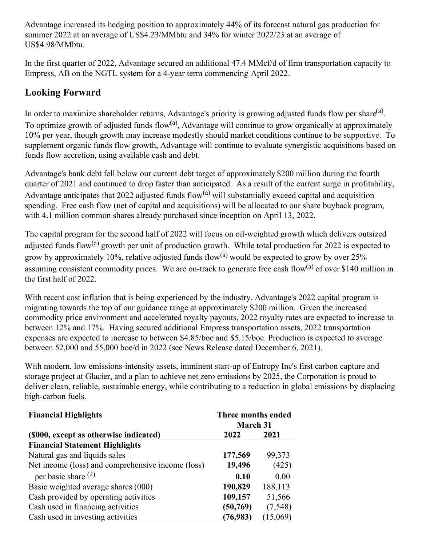Advantage increased its hedging position to approximately 44% of its forecast natural gas production for summer 2022 at an average of US\$4.23/MMbtu and 34% for winter 2022/23 at an average of US\$4.98/MMbtu.

In the first quarter of 2022, Advantage secured an additional 47.4 MMcf/d of firm transportation capacity to Empress, AB on the NGTL system for a 4-year term commencing April 2022.

# **Looking Forward**

In order to maximize shareholder returns, Advantage's priority is growing adjusted funds flow per share $(3)$ . To optimize growth of adjusted funds flow<sup>(a)</sup>, Advantage will continue to grow organically at approximately 10% per year, though growth may increase modestly should market conditions continue to be supportive. To supplement organic funds flow growth, Advantage will continue to evaluate synergistic acquisitions based on funds flow accretion, using available cash and debt.

Advantage's bank debt fell below our current debt target of approximately \$200 million during the fourth quarter of 2021 and continued to drop faster than anticipated. As a result of the current surge in profitability, Advantage anticipates that 2022 adjusted funds flow<sup>(a)</sup> will substantially exceed capital and acquisition spending. Free cash flow (net of capital and acquisitions) will be allocated to our share buyback program, with 4.1 million common shares already purchased since inception on April 13, 2022.

The capital program for the second half of 2022 will focus on oil-weighted growth which delivers outsized adjusted funds flow<sup>(a)</sup> growth per unit of production growth. While total production for 2022 is expected to grow by approximately 10%, relative adjusted funds flow<sup>(a)</sup> would be expected to grow by over 25% assuming consistent commodity prices. We are on-track to generate free cash flow $^{(a)}$  of over \$140 million in the first half of 2022.

With recent cost inflation that is being experienced by the industry, Advantage's 2022 capital program is migrating towards the top of our guidance range at approximately \$200 million. Given the increased commodity price environment and accelerated royalty payouts, 2022 royalty rates are expected to increase to between 12% and 17%. Having secured additional Empress transportation assets, 2022 transportation expenses are expected to increase to between \$4.85/boe and \$5.15/boe. Production is expected to average between 52,000 and 55,000 boe/d in 2022 (see News Release dated December 6, 2021).

With modern, low emissions-intensity assets, imminent start-up of Entropy Inc's first carbon capture and storage project at Glacier, and a plan to achieve net zero emissions by 2025, the Corporation is proud to deliver clean, reliable, sustainable energy, while contributing to a reduction in global emissions by displacing high-carbon fuels.

| <b>Financial Highlights</b>                       | Three months ended<br><b>March 31</b> |          |
|---------------------------------------------------|---------------------------------------|----------|
| (\$000, except as otherwise indicated)            | 2022                                  | 2021     |
| <b>Financial Statement Highlights</b>             |                                       |          |
| Natural gas and liquids sales                     | 177,569                               | 99,373   |
| Net income (loss) and comprehensive income (loss) | 19,496                                | (425)    |
| per basic share $^{(2)}$                          | 0.10                                  | 0.00     |
| Basic weighted average shares (000)               | 190,829                               | 188,113  |
| Cash provided by operating activities             | 109,157                               | 51,566   |
| Cash used in financing activities                 | (50, 769)                             | (7,548)  |
| Cash used in investing activities                 | (76, 983)                             | (15,069) |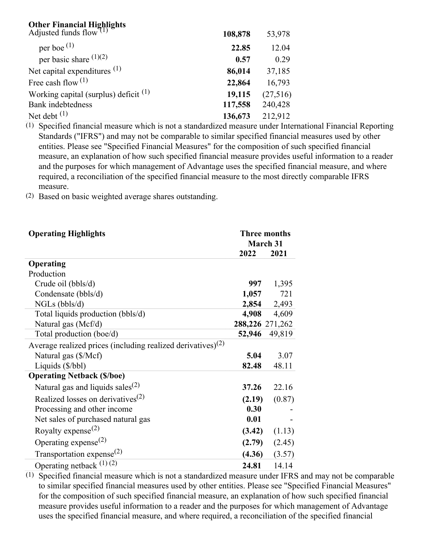# **Other Financial Highlights**

| Adjusted funds flow <sup><math>(1)</math></sup>  | 108,878 | 53,978   |
|--------------------------------------------------|---------|----------|
| per boe $(1)$                                    | 22.85   | 12.04    |
| per basic share $(1)(2)$                         | 0.57    | 0.29     |
| Net capital expenditures $(1)$                   | 86,014  | 37,185   |
| Free cash flow $^{(1)}$                          | 22,864  | 16,793   |
| Working capital (surplus) deficit <sup>(1)</sup> | 19,115  | (27,516) |
| Bank indebtedness                                | 117,558 | 240,428  |
| Net debt $(1)$                                   | 136,673 | 212,912  |

(1) Specified financial measure which is not a standardized measure under International Financial Reporting Standards ("IFRS") and may not be comparable to similar specified financial measures used by other entities. Please see "Specified Financial Measures" for the composition of such specified financial measure, an explanation of how such specified financial measure provides useful information to a reader and the purposes for which management of Advantage uses the specified financial measure, and where required, a reconciliation of the specified financial measure to the most directly comparable IFRS measure.

(2) Based on basic weighted average shares outstanding.

| <b>Operating Highlights</b>                                             | <b>Three months</b><br>March 31 |        |
|-------------------------------------------------------------------------|---------------------------------|--------|
|                                                                         | 2022                            | 2021   |
| Operating                                                               |                                 |        |
| Production                                                              |                                 |        |
| Crude oil (bbls/d)                                                      | 997                             | 1,395  |
| Condensate (bbls/d)                                                     | 1,057                           | 721    |
| $NGLs$ (bbls/d)                                                         | 2,854                           | 2,493  |
| Total liquids production (bbls/d)                                       | 4,908                           | 4,609  |
| Natural gas (Mcf/d)                                                     | 288,226 271,262                 |        |
| Total production (boe/d)                                                | 52,946                          | 49,819 |
| Average realized prices (including realized derivatives) <sup>(2)</sup> |                                 |        |
| Natural gas (\$/Mcf)                                                    | 5.04                            | 3.07   |
| Liquids (\$/bbl)                                                        | 82.48                           | 48.11  |
| <b>Operating Netback (\$/boe)</b>                                       |                                 |        |
| Natural gas and liquids sales <sup>(2)</sup>                            | 37.26                           | 22.16  |
| Realized losses on derivatives <sup>(2)</sup>                           | (2.19)                          | (0.87) |
| Processing and other income                                             | 0.30                            |        |
| Net sales of purchased natural gas                                      | 0.01                            |        |
| Royalty expense <sup>(2)</sup>                                          | (3.42)                          | (1.13) |
| Operating expense <sup><math>(2)</math></sup>                           | (2.79)                          | (2.45) |
| Transportation expense <sup>(2)</sup>                                   | (4.36)                          | (3.57) |
| Operating netback $(1)(2)$                                              | 24.81                           | 14.14  |

 $\overline{(1)}$  Specified financial measure which is not a standardized measure under IFRS and may not be comparable to similar specified financial measures used by other entities. Please see "Specified Financial Measures" for the composition of such specified financial measure, an explanation of how such specified financial measure provides useful information to a reader and the purposes for which management of Advantage uses the specified financial measure, and where required, a reconciliation of the specified financial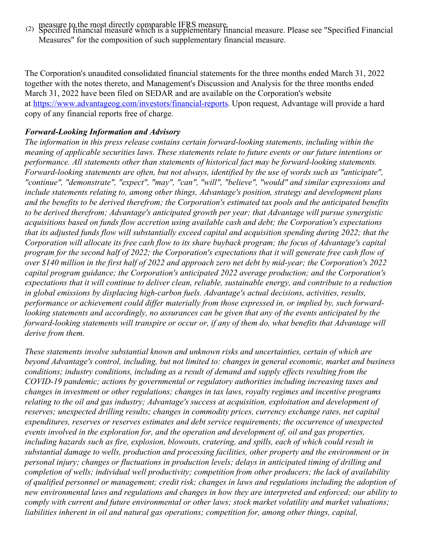measure to the most directly comparable IFRS measure. (2) Specified financial measure which is a supplementary financial measure. Please see "Specified Financial Measures" for the composition of such supplementary financial measure.

The Corporation's unaudited consolidated financial statements for the three months ended March 31, 2022 together with the notes thereto, and Management's Discussion and Analysis for the three months ended March 31, 2022 have been filed on SEDAR and are available on the Corporation's website at [https://www.advantageog.com/investors/financial-reports](https://c212.net/c/link/?t=0&l=en&o=3520560-1&h=1956055545&u=https%3A%2F%2Fwww.advantageog.com%2Finvestors%2Ffinancial-reports&a=https%3A%2F%2Fwww.advantageog.com%2Finvestors%2Ffinancial-reports). Upon request, Advantage will provide a hard copy of any financial reports free of charge.

#### *Forward-Looking Information and Advisory*

*The information in this press release contains certain forward-looking statements, including within the meaning of applicable securities laws. These statements relate to future events or our future intentions or performance. All statements other than statements of historical fact may be forward-looking statements. Forward-looking statements are often, but not always, identified by the use of words such as "anticipate", "continue", "demonstrate", "expect", "may", "can", "will", "believe", "would" and similar expressions and include statements relating to, among other things, Advantage's position, strategy and development plans and the benefits to be derived therefrom; the Corporation's estimated tax pools and the anticipated benefits to be derived therefrom; Advantage's anticipated growth per year; that Advantage will pursue synergistic acquisitions based on funds flow accretion using available cash and debt; the Corporation's expectations that its adjusted funds flow will substantially exceed capital and acquisition spending during 2022; that the* Corporation will allocate its free cash flow to its share buyback program; the focus of Advantage's capital program for the second half of 2022; the Corporation's expectations that it will generate free cash flow of over \$140 million in the first half of 2022 and approach zero net debt by mid-year; the Corporation's 2022 *capital program guidance; the Corporation's anticipated 2022 average production; and the Corporation's expectations that it will continue to deliver clean, reliable, sustainable energy, and contribute to a reduction in global emissions by displacing high-carbon fuels. Advantage's actual decisions, activities, results, performance or achievement could dif er materially from those expressed in, or implied by, such forwardlooking statements and accordingly, no assurances can be given that any of the events anticipated by the* forward-looking statements will transpire or occur or, if any of them do, what benefits that Advantage will *derive from them.*

*These statements involve substantial known and unknown risks and uncertainties, certain of which are beyond Advantage's control, including, but not limited to: changes in general economic, market and business conditions; industry conditions, including as a result of demand and supply ef ects resulting from the COVID-19 pandemic; actions by governmental or regulatory authorities including increasing taxes and changes in investment or other regulations; changes in tax laws, royalty regimes and incentive programs relating to the oil and gas industry; Advantage's success at acquisition, exploitation and development of reserves; unexpected drilling results; changes in commodity prices, currency exchange rates, net capital expenditures, reserves or reserves estimates and debt service requirements; the occurrence of unexpected events involved in the exploration for, and the operation and development of, oil and gas properties, including hazards such as fire, explosion, blowouts, cratering, and spills, each of which could result in substantial damage to wells, production and processing facilities, other property and the environment or in personal injury; changes or fluctuations in production levels; delays in anticipated timing of drilling and completion of wells; individual well productivity; competition from other producers; the lack of availability of qualified personnel or management; credit risk; changes in laws and regulations including the adoption of* new environmental laws and regulations and changes in how they are interpreted and enforced; our ability to *comply with current and future environmental or other laws; stock market volatility and market valuations; liabilities inherent in oil and natural gas operations; competition for, among other things, capital,*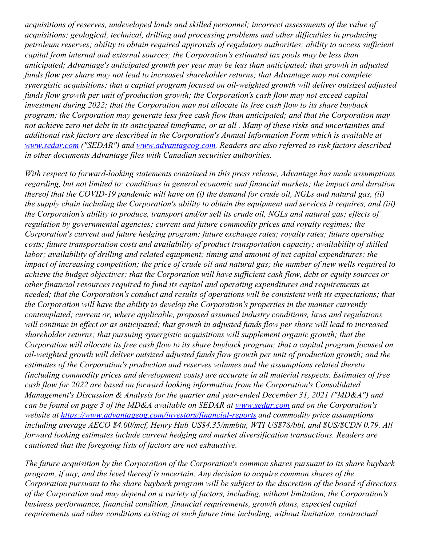*acquisitions of reserves, undeveloped lands and skilled personnel; incorrect assessments of the value of acquisitions; geological, technical, drilling and processing problems and other dif iculties in producing petroleum reserves; ability to obtain required approvals of regulatory authorities; ability to access suf icient capital from internal and external sources; the Corporation's estimated tax pools may be less than anticipated; Advantage's anticipated growth per year may be less than anticipated; that growth in adjusted funds flow per share may not lead to increased shareholder returns; that Advantage may not complete synergistic acquisitions; that a capital program focused on oil-weighted growth will deliver outsized adjusted funds flow growth per unit of production growth; the Corporation's cash flow may not exceed capital investment during 2022; that the Corporation may not allocate its free cash flow to its share buyback program; the Corporation may generate less free cash flow than anticipated; and that the Corporation may* not achieve zero net debt in its anticipated timeframe, or at all. Many of these risks and uncertainties and *additional risk factors are described in the Corporation's Annual Information Form which is available at [www.sedar.com](http://www.sedar.com) ("SEDAR") and [www.advantageog.com](http://www.advantageog.com). Readers are also referred to risk factors described in other documents Advantage files with Canadian securities authorities.*

*With respect to forward-looking statements contained in this press release, Advantage has made assumptions regarding, but not limited to: conditions in general economic and financial markets; the impact and duration* thereof that the COVID-19 pandemic will have on (i) the demand for crude oil, NGLs and natural gas, (ii) the supply chain including the Corporation's ability to obtain the equipment and services it requires, and (iii) the Corporation's ability to produce, transport and/or sell its crude oil, NGLs and natural gas; effects of *regulation by governmental agencies; current and future commodity prices and royalty regimes; the Corporation's current and future hedging program; future exchange rates; royalty rates; future operating costs; future transportation costs and availability of product transportation capacity; availability of skilled labor; availability of drilling and related equipment; timing and amount of net capital expenditures; the* impact of increasing competition; the price of crude oil and natural gas; the number of new wells required to achieve the budget objectives; that the Corporation will have sufficient cash flow, debt or equity sources or *other financial resources required to fund its capital and operating expenditures and requirements as needed; that the Corporation's conduct and results of operations will be consistent with its expectations; that the Corporation will have the ability to develop the Corporation's properties in the manner currently contemplated; current or, where applicable, proposed assumed industry conditions, laws and regulations* will continue in effect or as anticipated; that growth in adjusted funds flow per share will lead to increased *shareholder returns; that pursuing synergistic acquisitions will supplement organic growth; that the* Corporation will allocate its free cash flow to its share buyback program; that a capital program focused on *oil-weighted growth will deliver outsized adjusted funds flow growth per unit of production growth; and the estimates of the Corporation's production and reserves volumes and the assumptions related thereto (including commodity prices and development costs) are accurate in all material respects. Estimates of free cash flow for 2022 are based on forward looking information from the Corporation's Consolidated Management's Discussion & Analysis for the quarter and year-ended December 31, 2021 ("MD&A") and can be found on page 3 of the MD&A available on SEDAR at [www.sedar.com](http://www.sedar.com) and on the Corporation's website at <https://www.advantageog.com/investors/financial-reports> and commodity price assumptions including average AECO \$4.00/mcf, Henry Hub US\$4.35/mmbtu, WTI US\$78/bbl, and \$US/\$CDN 0.79. All forward looking estimates include current hedging and market diversification transactions. Readers are cautioned that the foregoing lists of factors are not exhaustive.*

*The future acquisition by the Corporation of the Corporation's common shares pursuant to its share buyback program, if any, and the level thereof is uncertain. Any decision to acquire common shares of the* Corporation pursuant to the share buyback program will be subject to the discretion of the board of directors *of the Corporation and may depend on a variety of factors, including, without limitation, the Corporation's business performance, financial condition, financial requirements, growth plans, expected capital requirements and other conditions existing at such future time including, without limitation, contractual*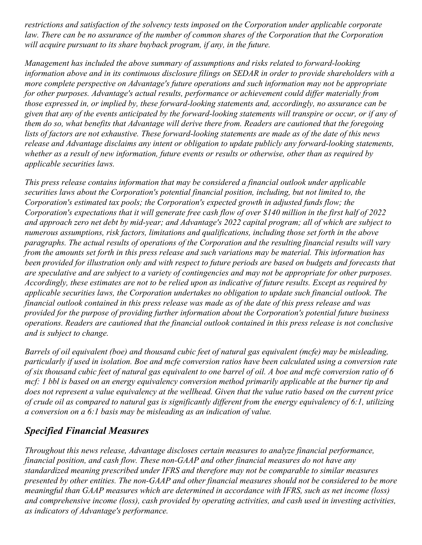*restrictions and satisfaction of the solvency tests imposed on the Corporation under applicable corporate* law. There can be no assurance of the number of common shares of the Corporation that the Corporation *will acquire pursuant to its share buyback program, if any, in the future.*

*Management has included the above summary of assumptions and risks related to forward-looking* information above and in its continuous disclosure filings on SEDAR in order to provide shareholders with a *more complete perspective on Advantage's future operations and such information may not be appropriate for other purposes. Advantage's actual results, performance or achievement could dif er materially from those expressed in, or implied by, these forward-looking statements and, accordingly, no assurance can be* given that any of the events anticipated by the forward-looking statements will transpire or occur, or if any of *them do so, what benefits that Advantage will derive there from. Readers are cautioned that the foregoing* lists of factors are not exhaustive. These forward-looking statements are made as of the date of this news *release and Advantage disclaims any intent or obligation to update publicly any forward-looking statements,* whether as a result of new information, future events or results or otherwise, other than as required by *applicable securities laws.*

*This press release contains information that may be considered a financial outlook under applicable securities laws about the Corporation's potential financial position, including, but not limited to, the Corporation's estimated tax pools; the Corporation's expected growth in adjusted funds flow; the* Corporation's expectations that it will generate free cash flow of over \$140 million in the first half of 2022 and approach zero net debt by mid-year; and Advantage's 2022 capital program; all of which are subject to *numerous assumptions, risk factors, limitations and qualifications, including those set forth in the above paragraphs. The actual results of operations of the Corporation and the resulting financial results will vary* from the amounts set forth in this press release and such variations may be material. This information has been provided for illustration only and with respect to future periods are based on budgets and forecasts that are speculative and are subject to a variety of contingencies and may not be appropriate for other purposes. Accordingly, these estimates are not to be relied upon as indicative of future results. Except as required by *applicable securities laws, the Corporation undertakes no obligation to update such financial outlook. The* financial outlook contained in this press release was made as of the date of this press release and was *provided for the purpose of providing further information about the Corporation's potential future business operations. Readers are cautioned that the financial outlook contained in this press release is not conclusive and is subject to change.*

Barrels of oil equivalent (boe) and thousand cubic feet of natural gas equivalent (mcfe) may be misleading, particularly if used in isolation. Boe and mcfe conversion ratios have been calculated using a conversion rate of six thousand cubic feet of natural gas equivalent to one barrel of oil. A boe and mcfe conversion ratio of 6 mcf: 1 bbl is based on an energy equivalency conversion method primarily applicable at the burner tip and does not represent a value equivalency at the wellhead. Given that the value ratio based on the current price of crude oil as compared to natural gas is significantly different from the energy equivalency of 6:1, utilizing *a conversion on a 6:1 basis may be misleading as an indication of value.*

### *Specified Financial Measures*

*Throughout this news release, Advantage discloses certain measures to analyze financial performance, financial position, and cash flow. These non-GAAP and other financial measures do not have any standardized meaning prescribed under IFRS and therefore may not be comparable to similar measures* presented by other entities. The non-GAAP and other financial measures should not be considered to be more *meaningful than GAAP measures which are determined in accordance with IFRS, such as net income (loss) and comprehensive income (loss), cash provided by operating activities, and cash used in investing activities, as indicators of Advantage's performance.*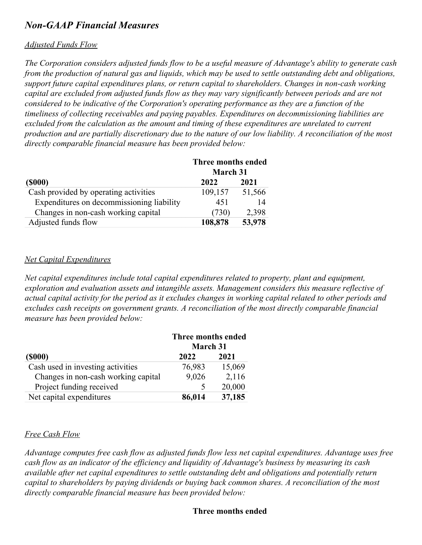## *Non-GAAP Financial Measures*

#### *Adjusted Funds Flow*

The Corporation considers adjusted funds flow to be a useful measure of Advantage's ability to generate cash from the production of natural gas and liquids, which may be used to settle outstanding debt and obligations, *support future capital expenditures plans, or return capital to shareholders. Changes in non-cash working capital are excluded from adjusted funds flow as they may vary significantly between periods and are not considered to be indicative of the Corporation's operating performance as they are a function of the timeliness of collecting receivables and paying payables. Expenditures on decommissioning liabilities are excluded from the calculation as the amount and timing of these expenditures are unrelated to current* production and are partially discretionary due to the nature of our low liability. A reconciliation of the most *directly comparable financial measure has been provided below:*

|                                           | Three months ended<br>March 31 |        |
|-------------------------------------------|--------------------------------|--------|
| (\$000)                                   | 2022                           | 2021   |
| Cash provided by operating activities     | 109,157                        | 51,566 |
| Expenditures on decommissioning liability | 451                            | 14     |
| Changes in non-cash working capital       | (730)                          | 2,398  |
| Adjusted funds flow                       | 108,878                        | 53,978 |

#### *Net Capital Expenditures*

*Net capital expenditures include total capital expenditures related to property, plant and equipment, exploration and evaluation assets and intangible assets. Management considers this measure reflective of* actual capital activity for the period as it excludes changes in working capital related to other periods and *excludes cash receipts on government grants. A reconciliation of the most directly comparable financial measure has been provided below:*

|                                     | Three months ended<br>March 31 |        |
|-------------------------------------|--------------------------------|--------|
| $($ \$000 $)$                       | 2022                           | 2021   |
| Cash used in investing activities   | 76,983                         | 15,069 |
| Changes in non-cash working capital | 9,026                          | 2,116  |
| Project funding received            |                                | 20,000 |
| Net capital expenditures            | 86,014                         | 37,185 |

#### *Free Cash Flow*

*Advantage computes free cash flow as adjusted funds flow less net capital expenditures. Advantage uses free* cash flow as an indicator of the efficiency and liquidity of Advantage's business by measuring its cash *available after net capital expenditures to settle outstanding debt and obligations and potentially return capital to shareholders by paying dividends or buying back common shares. A reconciliation of the most directly comparable financial measure has been provided below:*

#### **Three months ended**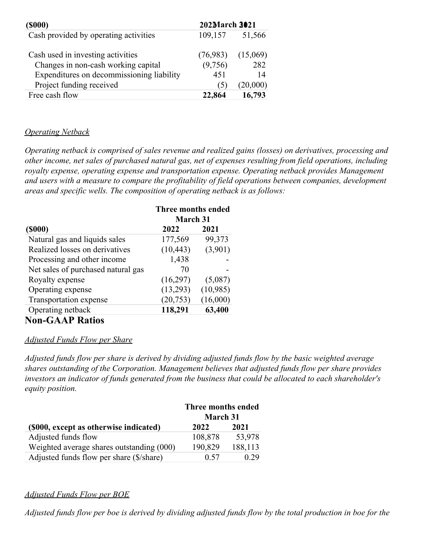| <b>(\$000)</b>                            | 202March 3021 |          |
|-------------------------------------------|---------------|----------|
| Cash provided by operating activities     | 109,157       | 51,566   |
| Cash used in investing activities         | (76,983)      | (15,069) |
| Changes in non-cash working capital       | (9,756)       | 282      |
| Expenditures on decommissioning liability | 451           | 14       |
| Project funding received                  | (5)           | (20,000) |
| Free cash flow                            | 22.864        | 16,793   |

### *Operating Netback*

*Operating netback is comprised of sales revenue and realized gains (losses) on derivatives, processing and other income, net sales of purchased natural gas, net of expenses resulting from field operations, including royalty expense, operating expense and transportation expense. Operating netback provides Management and users with a measure to compare the profitability of field operations between companies, development areas and specific wells. The composition of operating netback is as follows:*

|                                    | Three months ended |          |
|------------------------------------|--------------------|----------|
|                                    | <b>March 31</b>    |          |
| $($ \$000 $)$                      | 2022               | 2021     |
| Natural gas and liquids sales      | 177,569            | 99,373   |
| Realized losses on derivatives     | (10, 443)          | (3,901)  |
| Processing and other income        | 1,438              |          |
| Net sales of purchased natural gas | 70                 |          |
| Royalty expense                    | (16,297)           | (5,087)  |
| Operating expense                  | (13,293)           | (10,985) |
| Transportation expense             | (20, 753)          | (16,000) |
| Operating netback                  | 118,291            | 63,400   |
|                                    |                    |          |

### **Non-GAAP Ratios**

### *Adjusted Funds Flow per Share*

*Adjusted funds flow per share is derived by dividing adjusted funds flow by the basic weighted average shares outstanding of the Corporation. Management believes that adjusted funds flow per share provides investors an indicator of funds generated from the business that could be allocated to each shareholder's equity position.*

|                                           | Three months ended |         |
|-------------------------------------------|--------------------|---------|
|                                           | March 31           |         |
| (\$000, except as otherwise indicated)    | 2022               | 2021    |
| Adjusted funds flow                       | 108,878            | 53,978  |
| Weighted average shares outstanding (000) | 190,829            | 188,113 |
| Adjusted funds flow per share (\$/share)  | 0.57               | 0.29    |

### *Adjusted Funds Flow per BOE*

Adjusted funds flow per boe is derived by dividing adjusted funds flow by the total production in boe for the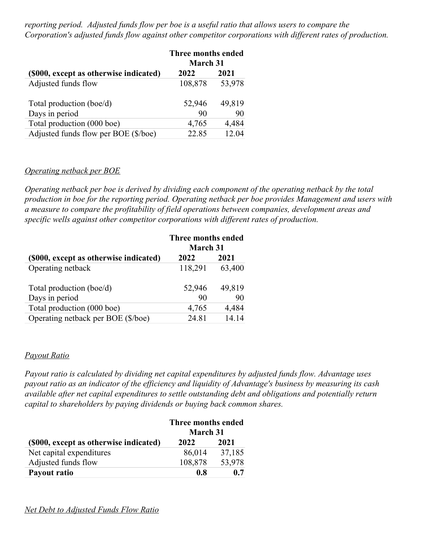*reporting period. Adjusted funds flow per boe is a useful ratio that allows users to compare the Corporation's adjusted funds flow against other competitor corporations with dif erent rates of production.*

|                                        | Three months ended<br><b>March 31</b> |        |
|----------------------------------------|---------------------------------------|--------|
| (\$000, except as otherwise indicated) | 2022                                  | 2021   |
| Adjusted funds flow                    | 108,878                               | 53,978 |
| Total production (boe/d)               | 52,946                                | 49,819 |
| Days in period                         | 90                                    | 90     |
| Total production (000 boe)             | 4,765                                 | 4,484  |
| Adjusted funds flow per BOE (\$/boe)   | 22.85                                 | 12.04  |

#### *Operating netback per BOE*

*Operating netback per boe is derived by dividing each component of the operating netback by the total production in boe for the reporting period. Operating netback per boe provides Management and users with a measure to compare the profitability of field operations between companies, development areas and specific wells against other competitor corporations with dif erent rates of production.*

|                                        | Three months ended |        |
|----------------------------------------|--------------------|--------|
|                                        | <b>March 31</b>    |        |
| (\$000, except as otherwise indicated) | 2022               | 2021   |
| Operating netback                      | 118,291            | 63,400 |
|                                        |                    |        |
| Total production (boe/d)               | 52,946             | 49,819 |
| Days in period                         | 90                 | 90     |
| Total production (000 boe)             | 4,765              | 4,484  |
| Operating netback per BOE (\$/boe)     | 24.81              | 14.14  |

#### *Payout Ratio*

*Payout ratio is calculated by dividing net capital expenditures by adjusted funds flow. Advantage uses* payout ratio as an indicator of the efficiency and liquidity of Advantage's business by measuring its cash *available after net capital expenditures to settle outstanding debt and obligations and potentially return capital to shareholders by paying dividends or buying back common shares.*

|                                        | Three months ended |        |
|----------------------------------------|--------------------|--------|
|                                        | <b>March 31</b>    |        |
| (\$000, except as otherwise indicated) | 2022               | 2021   |
| Net capital expenditures               | 86,014             | 37,185 |
| Adjusted funds flow                    | 108,878            | 53,978 |
| Payout ratio                           | 0.8                | 0.7    |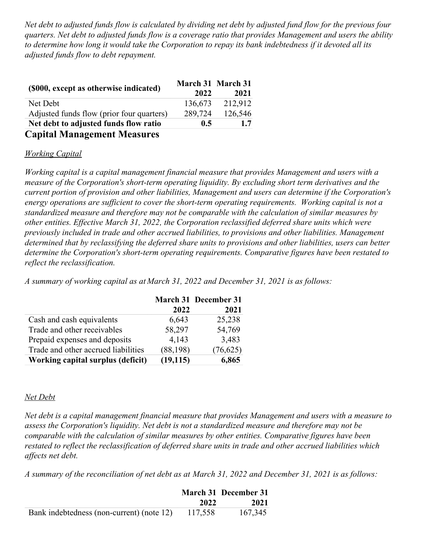Net debt to adjusted funds flow is calculated by dividing net debt by adjusted fund flow for the previous four quarters. Net debt to adjusted funds flow is a coverage ratio that provides Management and users the ability to determine how long it would take the Corporation to repay its bank indebtedness if it devoted all its *adjusted funds flow to debt repayment.*

|                                           |         | March 31 March 31 |
|-------------------------------------------|---------|-------------------|
| (\$000, except as otherwise indicated)    | 2022    | 2021              |
| Net Debt                                  | 136,673 | 212,912           |
| Adjusted funds flow (prior four quarters) | 289,724 | 126,546           |
| Net debt to adjusted funds flow ratio     | 0.5     | 1.7               |
| <b>Capital Management Measures</b>        |         |                   |

# *Working Capital*

*Working capital is a capital management financial measure that provides Management and users with a measure of the Corporation's short-term operating liquidity. By excluding short term derivatives and the current portion of provision and other liabilities, Management and users can determine if the Corporation's energy operations are suf icient to cover the short-term operating requirements. Working capital is not a standardized measure and therefore may not be comparable with the calculation of similar measures by other entities. Ef ective March 31, 2022, the Corporation reclassified deferred share units which were previously included in trade and other accrued liabilities, to provisions and other liabilities. Management determined that by reclassifying the deferred share units to provisions and other liabilities, users can better determine the Corporation's short-term operating requirements. Comparative figures have been restated to reflect the reclassification.*

*A summary of working capital as at March 31, 2022 and December 31, 2021 is as follows:*

|                                     |           | March 31 December 31 |
|-------------------------------------|-----------|----------------------|
|                                     | 2022      | 2021                 |
| Cash and cash equivalents           | 6,643     | 25,238               |
| Trade and other receivables         | 58,297    | 54,769               |
| Prepaid expenses and deposits       | 4,143     | 3,483                |
| Trade and other accrued liabilities | (88, 198) | (76, 625)            |
| Working capital surplus (deficit)   | (19, 115) | 6,865                |

#### *Net Debt*

*Net debt is a capital management financial measure that provides Management and users with a measure to assess the Corporation's liquidity. Net debt is not a standardized measure and therefore may not be comparable with the calculation of similar measures by other entities. Comparative figures have been restated to reflect the reclassification of deferred share units in trade and other accrued liabilities which af ects net debt.*

A summary of the reconciliation of net debt as at March 31, 2022 and December 31, 2021 is as follows:

|                                           |         | March 31 December 31 |
|-------------------------------------------|---------|----------------------|
|                                           | 2022    | 2021                 |
| Bank indebtedness (non-current) (note 12) | 117,558 | 167,345              |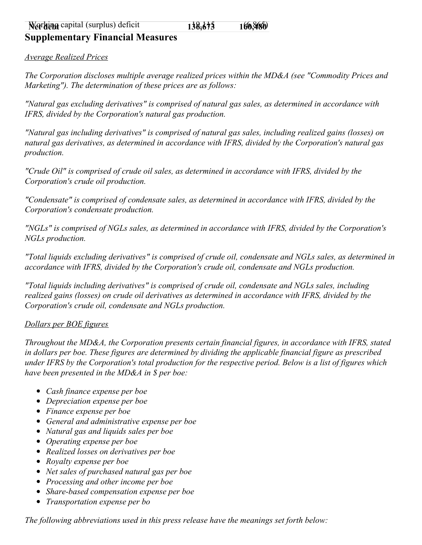### **Supplementary Financial Measures**

*Average Realized Prices*

*The Corporation discloses multiple average realized prices within the MD&A (see "Commodity Prices and Marketing"). The determination of these prices are as follows:*

*"Natural gas excluding derivatives" is comprised of natural gas sales, as determined in accordance with IFRS, divided by the Corporation's natural gas production.*

*"Natural gas including derivatives" is comprised of natural gas sales, including realized gains (losses) on natural gas derivatives, as determined in accordance with IFRS, divided by the Corporation's natural gas production.*

*"Crude Oil" is comprised of crude oil sales, as determined in accordance with IFRS, divided by the Corporation's crude oil production.*

*"Condensate" is comprised of condensate sales, as determined in accordance with IFRS, divided by the Corporation's condensate production.*

*"NGLs" is comprised of NGLs sales, as determined in accordance with IFRS, divided by the Corporation's NGLs production.*

*"Total liquids excluding derivatives" is comprised of crude oil, condensate and NGLs sales, as determined in accordance with IFRS, divided by the Corporation's crude oil, condensate and NGLs production.*

*"Total liquids including derivatives" is comprised of crude oil, condensate and NGLs sales, including realized gains (losses) on crude oil derivatives as determined in accordance with IFRS, divided by the Corporation's crude oil, condensate and NGLs production.*

#### *Dollars per BOE figures*

*Throughout the MD&A, the Corporation presents certain financial figures, in accordance with IFRS, stated in dollars per boe. These figures are determined by dividing the applicable financial figure as prescribed* under IFRS by the Corporation's total production for the respective period. Below is a list of figures which *have been presented in the MD&A in \$ per boe:*

- *Cash finance expense per boe*
- *Depreciation expense per boe*
- *Finance expense per boe*
- *General and administrative expense per boe*
- *Natural gas and liquids sales per boe*
- *Operating expense per boe*
- *Realized losses on derivatives per boe*
- *Royalty expense per boe*
- *Net sales of purchased natural gas per boe*
- *Processing and other income per boe*
- *Share-based compensation expense per boe*
- *Transportation expense per bo*

*The following abbreviations used in this press release have the meanings set forth below:*